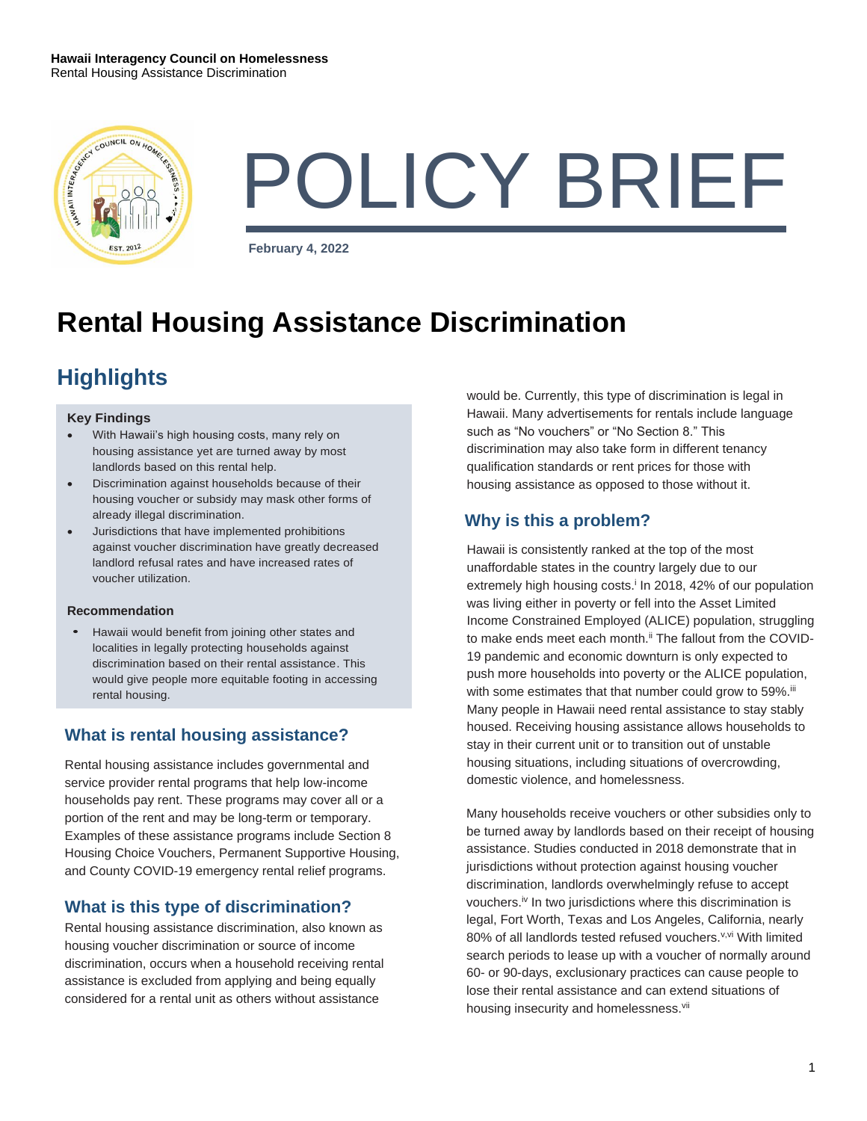

# POLICY BRIEF

**February 4, 2022**

# **Rental Housing Assistance Discrimination**

# **Highlights**

#### **Key Findings**

- With Hawaii's high housing costs, many rely on housing assistance yet are turned away by most landlords based on this rental help.
- Discrimination against households because of their housing voucher or subsidy may mask other forms of already illegal discrimination.
- Jurisdictions that have implemented prohibitions against voucher discrimination have greatly decreased landlord refusal rates and have increased rates of voucher utilization.

#### **Recommendation**

• Hawaii would benefit from joining other states and localities in legally protecting households against discrimination based on their rental assistance. This would give people more equitable footing in accessing rental housing.

## **What is rental housing assistance?**

Rental housing assistance includes governmental and service provider rental programs that help low-income households pay rent. These programs may cover all or a portion of the rent and may be long-term or temporary. Examples of these assistance programs include Section 8 Housing Choice Vouchers, Permanent Supportive Housing, and County COVID-19 emergency rental relief programs.

## **What is this type of discrimination?**

Rental housing assistance discrimination, also known as housing voucher discrimination or source of income discrimination, occurs when a household receiving rental assistance is excluded from applying and being equally considered for a rental unit as others without assistance

would be. Currently, this type of discrimination is legal in Hawaii. Many advertisements for rentals include language such as "No vouchers" or "No Section 8." This discrimination may also take form in different tenancy qualification standards or rent prices for those with housing assistance as opposed to those without it.

### **Why is this a problem?**

Hawaii is consistently ranked at the top of the most unaffordable states in the country largely due to our extremely high housing costs.<sup>i</sup> In 2018, 42% of our population was living either in poverty or fell into the Asset Limited Income Constrained Employed (ALICE) population, struggling to make ends meet each month.<sup>ii</sup> The fallout from the COVID-19 pandemic and economic downturn is only expected to push more households into poverty or the ALICE population, with some estimates that that number could grow to 59%.<sup>iii</sup> Many people in Hawaii need rental assistance to stay stably housed. Receiving housing assistance allows households to stay in their current unit or to transition out of unstable housing situations, including situations of overcrowding, domestic violence, and homelessness.

Many households receive vouchers or other subsidies only to be turned away by landlords based on their receipt of housing assistance. Studies conducted in 2018 demonstrate that in jurisdictions without protection against housing voucher discrimination, landlords overwhelmingly refuse to accept vouchers.iv In two jurisdictions where this discrimination is legal, Fort Worth, Texas and Los Angeles, California, nearly 80% of all landlords tested refused vouchers.<sup>v,vi</sup> With limited search periods to lease up with a voucher of normally around 60- or 90-days, exclusionary practices can cause people to lose their rental assistance and can extend situations of housing insecurity and homelessness.<sup>vii</sup>